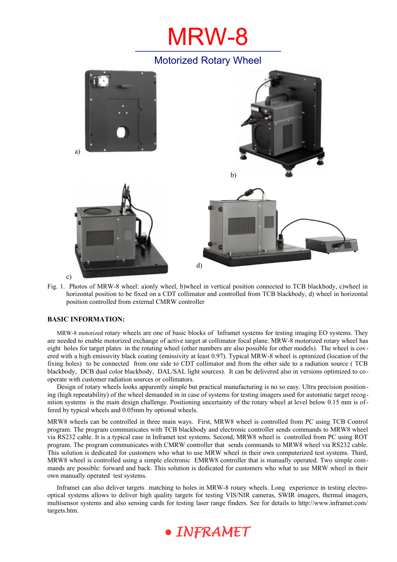# MRW-8

## Motorized Rotary Wheel



Fig. 1. Photos of MRW-8 wheel: a)only wheel, b)wheel in vertical position connected to TCB blackbody, c)wheel in horizontal position to be fixed on a CDT collimator and controlled from TCB blackbody, d) wheel in horizontal position controlled from external CMRW controller

## **BASIC INFORMATION:**

MRW-8 motorized rotary wheels are one of basic blocks of Inframet systems for testing imaging EO systems. They are needed to enable motorized exchange of active target at collimator focal plane. MRW-8 motorized rotary wheel has eight holes for target plates in the rotating wheel (other numbers are also possible for other models). The wheel is covered with a high emissivity black coating (emissivity at least 0.97). Typical MRW-8 wheel is optimized (location of the fixing holes) to be connected from one side to CDT collimator and from the other side to a radiation source ( TCB blackbody, DCB dual color blackbody, DAL/SAL light sources). It can be delivered also in versions optimized to cooperate with customer radiation sources or collimators.

Design of rotary wheels looks apparently simple but practical manufacturing is no so easy. Ultra precision positioning (high repeatability) of the wheel demanded in in case of systems for testing imagers used for automatic target recognition systems is the main design challenge. Positioning uncertainty of the rotary wheel at level below 0.15 mm is offered by typical wheels and 0.05mm by optional wheels.

MRW8 wheels can be controlled in three main ways. First, MRW8 wheel is controlled from PC using TCB Control program. The program communicates with TCB blackbody and electronic controller sends commands to MRW8 wheel via RS232 cable. It is a typical case in Inframet test systems. Second, MRW8 wheel is controlled from PC using ROT program. The program communicates with CMRW controller that sends commands to MRW8 wheel via RS232 cable. This solution is dedicated for customers who what to use MRW wheel in their own computerized test systems. Third, MRW8 wheel is controlled using a simple electronic EMRW8 controller that is manually operated. Two simple commands are possible: forward and back. This solution is dedicated for customers who what to use MRW wheel in their own manually operated test systems.

Inframet can also deliver targets matching to holes in MRW-8 rotary wheels. Long experience in testing electrooptical systems allows to deliver high quality targets for testing VIS/NIR cameras, SWIR imagers, thermal imagers, multisensor systems and also sensing cards for testing laser range finders. See for details to http://www.inframet.com/ targets.htm.